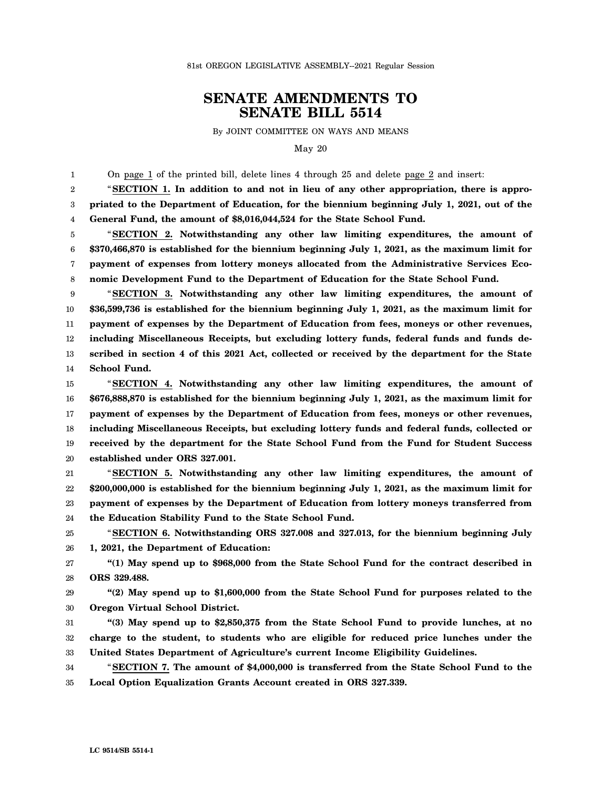## **SENATE AMENDMENTS TO SENATE BILL 5514**

By JOINT COMMITTEE ON WAYS AND MEANS

May 20

1 On page 1 of the printed bill, delete lines 4 through 25 and delete page 2 and insert:

2 3 4 "**SECTION 1. In addition to and not in lieu of any other appropriation, there is appropriated to the Department of Education, for the biennium beginning July 1, 2021, out of the General Fund, the amount of \$8,016,044,524 for the State School Fund.**

5 6 7 8 "**SECTION 2. Notwithstanding any other law limiting expenditures, the amount of \$370,466,870 is established for the biennium beginning July 1, 2021, as the maximum limit for payment of expenses from lottery moneys allocated from the Administrative Services Economic Development Fund to the Department of Education for the State School Fund.**

9 10 11 12 13 14 "**SECTION 3. Notwithstanding any other law limiting expenditures, the amount of \$36,599,736 is established for the biennium beginning July 1, 2021, as the maximum limit for payment of expenses by the Department of Education from fees, moneys or other revenues, including Miscellaneous Receipts, but excluding lottery funds, federal funds and funds described in section 4 of this 2021 Act, collected or received by the department for the State School Fund.**

15 16 17 18 19 20 "**SECTION 4. Notwithstanding any other law limiting expenditures, the amount of \$676,888,870 is established for the biennium beginning July 1, 2021, as the maximum limit for payment of expenses by the Department of Education from fees, moneys or other revenues, including Miscellaneous Receipts, but excluding lottery funds and federal funds, collected or received by the department for the State School Fund from the Fund for Student Success established under ORS 327.001.**

21 22 23 24 "**SECTION 5. Notwithstanding any other law limiting expenditures, the amount of \$200,000,000 is established for the biennium beginning July 1, 2021, as the maximum limit for payment of expenses by the Department of Education from lottery moneys transferred from the Education Stability Fund to the State School Fund.**

25 26 "**SECTION 6. Notwithstanding ORS 327.008 and 327.013, for the biennium beginning July 1, 2021, the Department of Education:**

27 28 **"(1) May spend up to \$968,000 from the State School Fund for the contract described in ORS 329.488.**

29 30 **"(2) May spend up to \$1,600,000 from the State School Fund for purposes related to the Oregon Virtual School District.**

31 32 33 **"(3) May spend up to \$2,850,375 from the State School Fund to provide lunches, at no charge to the student, to students who are eligible for reduced price lunches under the United States Department of Agriculture's current Income Eligibility Guidelines.**

34 35 "**SECTION 7. The amount of \$4,000,000 is transferred from the State School Fund to the Local Option Equalization Grants Account created in ORS 327.339.**